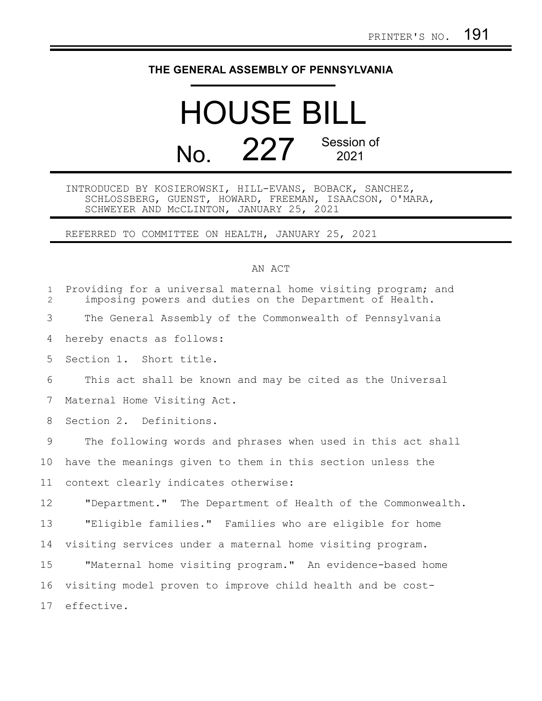## **THE GENERAL ASSEMBLY OF PENNSYLVANIA**

## HOUSE BILL No. 227 Session of 2021

INTRODUCED BY KOSIEROWSKI, HILL-EVANS, BOBACK, SANCHEZ, SCHLOSSBERG, GUENST, HOWARD, FREEMAN, ISAACSON, O'MARA, SCHWEYER AND McCLINTON, JANUARY 25, 2021

REFERRED TO COMMITTEE ON HEALTH, JANUARY 25, 2021

## AN ACT

| $\mathbf{1}$<br>$\overline{2}$ | Providing for a universal maternal home visiting program; and<br>imposing powers and duties on the Department of Health. |
|--------------------------------|--------------------------------------------------------------------------------------------------------------------------|
| 3                              | The General Assembly of the Commonwealth of Pennsylvania                                                                 |
| 4                              | hereby enacts as follows:                                                                                                |
| 5                              | Section 1. Short title.                                                                                                  |
| 6                              | This act shall be known and may be cited as the Universal                                                                |
| 7                              | Maternal Home Visiting Act.                                                                                              |
| 8                              | Section 2. Definitions.                                                                                                  |
| 9                              | The following words and phrases when used in this act shall                                                              |
| 10                             | have the meanings given to them in this section unless the                                                               |
| 11                             | context clearly indicates otherwise:                                                                                     |
| 12                             | "Department." The Department of Health of the Commonwealth.                                                              |
| 13                             | "Eligible families." Families who are eligible for home                                                                  |
| 14                             | visiting services under a maternal home visiting program.                                                                |
| 15                             | "Maternal home visiting program." An evidence-based home                                                                 |
| 16                             | visiting model proven to improve child health and be cost-                                                               |
| 17                             | effective.                                                                                                               |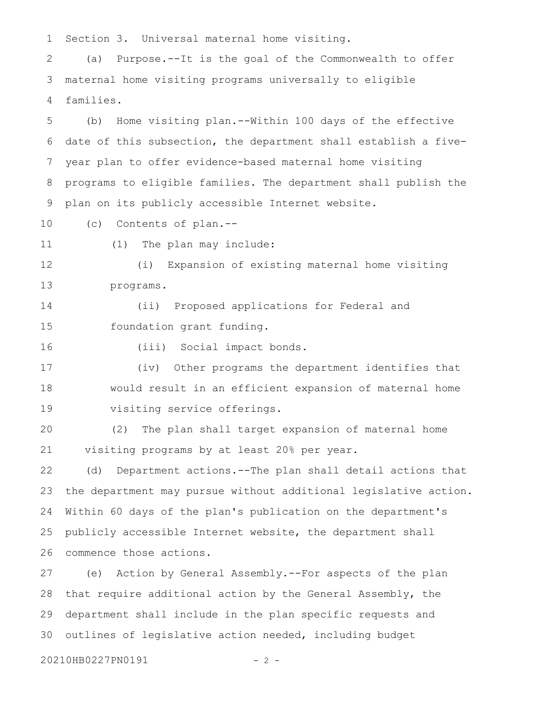Section 3. Universal maternal home visiting. 1

(a) Purpose.--It is the goal of the Commonwealth to offer maternal home visiting programs universally to eligible families. 2 3 4

(b) Home visiting plan.--Within 100 days of the effective date of this subsection, the department shall establish a fiveyear plan to offer evidence-based maternal home visiting programs to eligible families. The department shall publish the plan on its publicly accessible Internet website. 5 6 7 8 9

(c) Contents of plan.-- 10

(1) The plan may include: 11

(i) Expansion of existing maternal home visiting programs. 12 13

(ii) Proposed applications for Federal and foundation grant funding. 14 15

16

(iii) Social impact bonds.

(iv) Other programs the department identifies that would result in an efficient expansion of maternal home visiting service offerings. 17 18 19

(2) The plan shall target expansion of maternal home visiting programs by at least 20% per year. 20 21

(d) Department actions.--The plan shall detail actions that the department may pursue without additional legislative action. Within 60 days of the plan's publication on the department's publicly accessible Internet website, the department shall commence those actions. 22 23 24 25 26

(e) Action by General Assembly.--For aspects of the plan that require additional action by the General Assembly, the department shall include in the plan specific requests and outlines of legislative action needed, including budget 27 28 29 30

20210HB0227PN0191 - 2 -